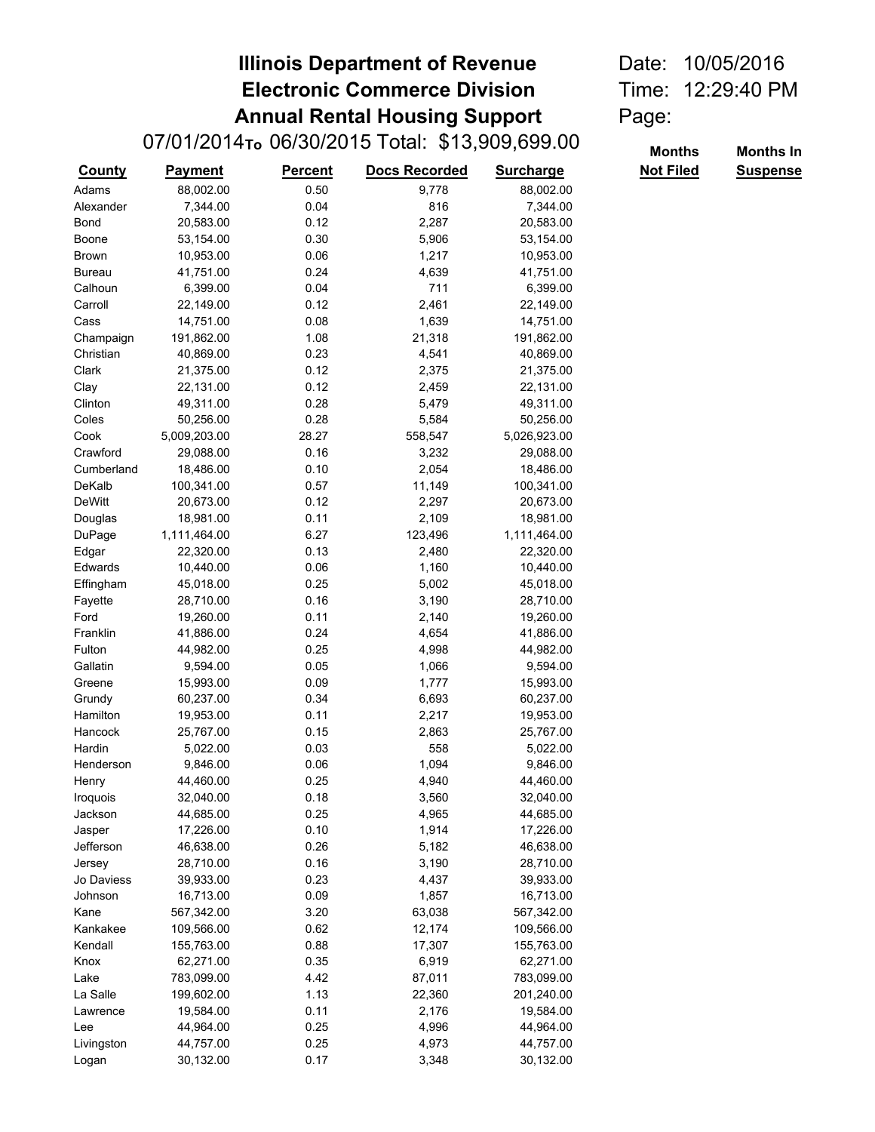## **Illinois Department of Revenue** Date: 10/05/2016 **Electronic Commerce Division** Time: 12:29:40 PM **Annual Rental Housing Support** Page:

|               | 07/01/2014 <sub>To</sub> 06/30/2015 Total: \$13,909,699.00 | <b>Months</b>  | <b>Months In</b>     |                  |                  |                 |
|---------------|------------------------------------------------------------|----------------|----------------------|------------------|------------------|-----------------|
| <b>County</b> | <b>Payment</b>                                             | <b>Percent</b> | <b>Docs Recorded</b> | <b>Surcharge</b> | <b>Not Filed</b> | <b>Suspense</b> |
| Adams         | 88,002.00                                                  | 0.50           | 9,778                | 88,002.00        |                  |                 |
| Alexander     | 7,344.00                                                   | 0.04           | 816                  | 7,344.00         |                  |                 |
| Bond          | 20,583.00                                                  | 0.12           | 2,287                | 20,583.00        |                  |                 |
| Boone         | 53,154.00                                                  | 0.30           | 5,906                | 53,154.00        |                  |                 |
| <b>Brown</b>  | 10,953.00                                                  | 0.06           | 1,217                | 10,953.00        |                  |                 |
| <b>Bureau</b> | 41,751.00                                                  | 0.24           | 4,639                | 41,751.00        |                  |                 |
| Calhoun       | 6,399.00                                                   | 0.04           | 711                  | 6,399.00         |                  |                 |
| Carroll       | 22,149.00                                                  | 0.12           | 2,461                | 22,149.00        |                  |                 |
| Cass          | 14,751.00                                                  | 0.08           | 1,639                | 14,751.00        |                  |                 |
| Champaign     | 191,862.00                                                 | 1.08           | 21,318               | 191,862.00       |                  |                 |
| Christian     | 40,869.00                                                  | 0.23           | 4,541                | 40,869.00        |                  |                 |
| Clark         | 21,375.00                                                  | 0.12           | 2,375                | 21,375.00        |                  |                 |
| Clay          | 22,131.00                                                  | 0.12           | 2,459                | 22,131.00        |                  |                 |
| Clinton       | 49,311.00                                                  | 0.28           | 5,479                | 49,311.00        |                  |                 |
| Coles         | 50,256.00                                                  | 0.28           | 5,584                | 50,256.00        |                  |                 |
| Cook          | 5,009,203.00                                               | 28.27          | 558,547              | 5,026,923.00     |                  |                 |
| Crawford      | 29,088.00                                                  | 0.16           | 3,232                | 29,088.00        |                  |                 |
| Cumberland    | 18,486.00                                                  | 0.10           | 2,054                | 18,486.00        |                  |                 |
| DeKalb        | 100,341.00                                                 | 0.57           | 11,149               | 100,341.00       |                  |                 |
| <b>DeWitt</b> | 20,673.00                                                  | 0.12           | 2,297                | 20,673.00        |                  |                 |
| Douglas       | 18,981.00                                                  | 0.11           | 2,109                | 18,981.00        |                  |                 |
| DuPage        | 1,111,464.00                                               | 6.27           | 123,496              | 1,111,464.00     |                  |                 |
| Edgar         | 22,320.00                                                  | 0.13           | 2,480                | 22,320.00        |                  |                 |
| Edwards       | 10,440.00                                                  | 0.06           | 1,160                | 10,440.00        |                  |                 |
| Effingham     | 45,018.00                                                  | 0.25           | 5,002                | 45,018.00        |                  |                 |
| Fayette       | 28,710.00                                                  | 0.16           | 3,190                | 28,710.00        |                  |                 |
| Ford          | 19,260.00                                                  | 0.11           | 2,140                | 19,260.00        |                  |                 |
| Franklin      | 41,886.00                                                  | 0.24           | 4,654                | 41,886.00        |                  |                 |
| Fulton        | 44,982.00                                                  | 0.25           | 4,998                | 44,982.00        |                  |                 |
| Gallatin      | 9,594.00                                                   | 0.05           | 1,066                | 9,594.00         |                  |                 |
| Greene        | 15,993.00                                                  | 0.09           | 1,777                | 15,993.00        |                  |                 |
| Grundy        | 60,237.00                                                  | 0.34           | 6,693                | 60,237.00        |                  |                 |
| Hamilton      | 19,953.00                                                  | 0.11           | 2,217                | 19,953.00        |                  |                 |
| Hancock       | 25,767.00                                                  | 0.15           | 2,863                | 25,767.00        |                  |                 |
| Hardin        | 5,022.00                                                   | 0.03           | 558                  | 5,022.00         |                  |                 |
| Henderson     | 9,846.00                                                   | 0.06           | 1,094                | 9,846.00         |                  |                 |
| Henry         | 44,460.00                                                  | 0.25           | 4,940                | 44,460.00        |                  |                 |
| Iroquois      | 32,040.00                                                  | 0.18           | 3,560                | 32,040.00        |                  |                 |
| Jackson       | 44,685.00                                                  | 0.25           | 4,965                | 44,685.00        |                  |                 |
| Jasper        | 17,226.00                                                  | 0.10           | 1,914                | 17,226.00        |                  |                 |
| Jefferson     | 46,638.00                                                  | 0.26           | 5,182                | 46,638.00        |                  |                 |
|               | 28,710.00                                                  | 0.16           | 3,190                | 28,710.00        |                  |                 |
| Jersey        |                                                            | 0.23           |                      |                  |                  |                 |
| Jo Daviess    | 39,933.00<br>16,713.00                                     |                | 4,437                | 39,933.00        |                  |                 |
| Johnson       |                                                            | 0.09           | 1,857                | 16,713.00        |                  |                 |
| Kane          | 567,342.00                                                 | 3.20           | 63,038               | 567,342.00       |                  |                 |
| Kankakee      | 109,566.00                                                 | 0.62           | 12,174               | 109,566.00       |                  |                 |
| Kendall       | 155,763.00                                                 | 0.88           | 17,307               | 155,763.00       |                  |                 |
| Knox          | 62,271.00                                                  | 0.35           | 6,919                | 62,271.00        |                  |                 |
| Lake          | 783,099.00                                                 | 4.42           | 87,011               | 783,099.00       |                  |                 |
| La Salle      | 199,602.00                                                 | 1.13           | 22,360               | 201,240.00       |                  |                 |
| Lawrence      | 19,584.00                                                  | 0.11           | 2,176                | 19,584.00        |                  |                 |
| Lee           | 44,964.00                                                  | 0.25           | 4,996                | 44,964.00        |                  |                 |
| Livingston    | 44,757.00                                                  | 0.25           | 4,973                | 44,757.00        |                  |                 |
| Logan         | 30,132.00                                                  | 0.17           | 3,348                | 30,132.00        |                  |                 |